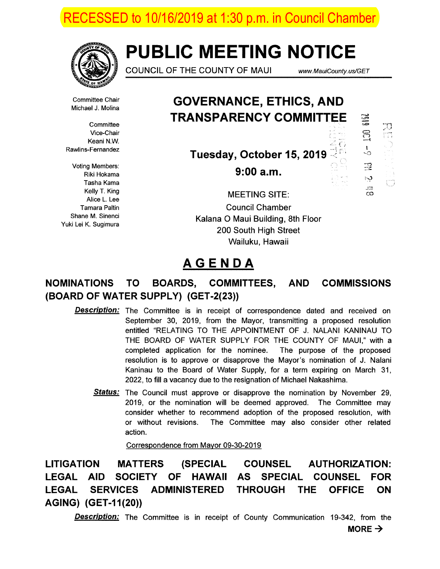ECESSED to 10/16/2019 at 1:30 p.m. in Council Chamber



# PUBLIC MEETING NOTICE

COUNCIL OF THE COUNTY OF MAUI www.MauiCounty. us/GET

Committee Chair Michael J. Molina

**Committee** Vice-Chair Keani N.W. Rawlins-Fernandez

Voting Members: Riki Hokama Tasha Kama Kelly T. King Alice L. Lee Tamara Paltin Shane M. Sinenci Yuki Lei K. Sugimura

GOVERNANCE, ETHICS, AND TRANSPARENCY COMMITTEE

Tuesday, October 15, 2019

 $9:00a.m.$ 

SIB<sub>2</sub> 77  $\overline{a}$ 昱 فية Ú  $\overline{1}$  $\infty$ 

MEETING SITE:

Council Chamber Kalana 0 Maui Building, 8th Floor 200 South High Street Wailuku, Hawaii

## AGENDA

## NOMINATIONS TO BOARDS, COMMITTEES, AND COMMISSIONS (BOARD OF WATER SUPPLY) (GET-2(23))

- Description: The Committee is in receipt of correspondence dated and received on September 30, 2019, from the Mayor, transmitting a proposed resolution entitled "RELATING TO THE APPOINTMENT OF J. NALANI KANINAU TO THE BOARD OF WATER SUPPLY FOR THE COUNTY OF MAUI," with a completed application for the nominee. The purpose of the proposed resolution is to approve or disapprove the Mayor's nomination of J. Nalani Kaninau to the Board of Water Supply, for a term expiring on March 31, 2022, to fill a vacancy due to the resignation of Michael Nakashima.
	- Status: The Council must approve or disapprove the nomination by November 29, 2019, or the nomination will be deemed approved. The Committee may consider whether to recommend adoption of the proposed resolution, with or without revisions. The Committee may also consider other related action.

Correspondence from Mayor 09-30-2019

LITIGATION MATTERS (SPECIAL COUNSEL AUTHORIZATION: LEGAL AID SOCIETY OF HAWAII AS SPECIAL COUNSEL FOR LEGAL SERVICES ADMINISTERED THROUGH THE OFFICE ON AGING) (GET-I 1(20))

**Description:** The Committee is in receipt of County Communication 19-342, from the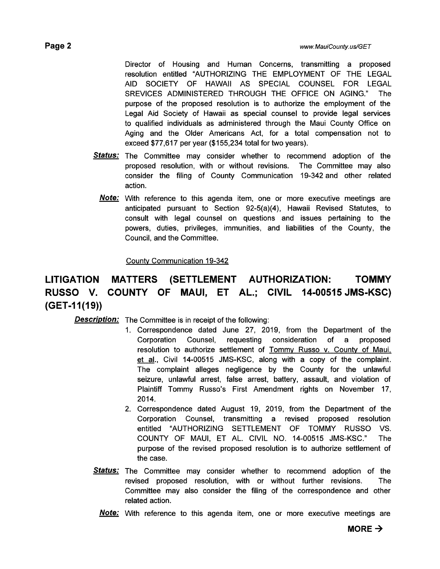Director of Housing and Human Concerns, transmitting a proposed resolution entitled "AUTHORIZING THE EMPLOYMENT OF THE LEGAL AID SOCIETY OF HAWAII AS SPECIAL COUNSEL FOR LEGAL SREVICES ADMINISTERED THROUGH THE OFFICE ON AGING." The purpose of the proposed resolution is to authorize the employment of the Legal Aid Society of Hawaii as special counsel to provide legal services to qualified individuals as administered through the Maui County Office on Aging and the Older Americans Act, for a total compensation not to exceed \$77,617 per year (\$155,234 total for two years).

- **Status:** The Committee may consider whether to recommend adoption of the proposed resolution, with or without revisions. The Committee may also consider the filing of County Communication 19-342 and other related action.
	- **Note:** With reference to this agenda item, one or more executive meetings are anticipated pursuant to Section 92-5(a)(4), Hawaii Revised Statutes, to consult with legal counsel on questions and issues pertaining to the powers, duties, privileges, immunities, and liabilities of the County, the Council, and the Committee.

## County Communication 19-342

## LITIGATION MATTERS (SETTLEMENT AUTHORIZATION: TOMMY RUSSO V. COUNTY OF MAUI, ET AL; CIVIL 14-00515 JMS-KSC) (GET-I 1(19))

**Description:** The Committee is in receipt of the following:

- 1. Correspondence dated June 27, 2019, from the Department of the Corporation Counsel, requesting consideration of a proposed resolution to authorize settlement of Tommy Russo v. County of Maui. et al., Civil 14-00515 JMS-KSC, along with a copy of the complaint. The complaint alleges negligence by the County for the unlawful seizure, unlawful arrest, false arrest, battery, assault, and violation of Plaintiff Tommy Russo's First Amendment rights on November 17, 2014.
- 2. Correspondence dated August 19, 2019, from the Department of the Corporation Counsel, transmitting a revised proposed resolution entitled "AUTHORIZING SETTLEMENT OF TOMMY RUSSO VS. COUNTY OF MAUI, ET AL. CIVIL NO. 14-00515 JMS-KSC." The purpose of the revised proposed resolution is to authorize settlement of the case.
- **Status:** The Committee may consider whether to recommend adoption of the revised proposed resolution, with or without further revisions. The Committee may also consider the filing of the correspondence and other related action.
	- **Note:** With reference to this agenda item, one or more executive meetings are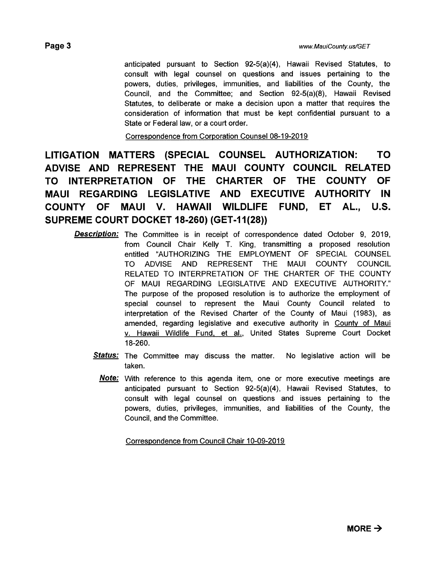consideration of information that must be kept confidential pursuant to a

Correspondence from Corporation Counsel 08-19-2019

State or Federal law, or a court order.

LITIGATION MATTERS (SPECIAL COUNSEL AUTHORIZATION: TO ADVISE AND REPRESENT THE MAUI COUNTY COUNCIL RELATED TO INTERPRETATION OF THE CHARTER OF THE COUNTY OF MAUI REGARDING LEGISLATIVE AND EXECUTIVE AUTHORITY IN COUNTY OF MAUI V. HAWAII WILDLIFE FUND, ET AL., US. SUPREME COURT DOCKET 18-260) (GET-11(28))

- **Description:** The Committee is in receipt of correspondence dated October 9, 2019, from Council Chair Kelly T. King, transmitting a proposed resolution entitled "AUTHORIZING THE EMPLOYMENT OF SPECIAL COUNSEL TO ADVISE AND REPRESENT THE MAUI COUNTY COUNCIL RELATED TO INTERPRETATION OF THE CHARTER OF THE COUNTY OF MAUI REGARDING LEGISLATIVE AND EXECUTIVE AUTHORITY." The purpose of the proposed resolution is to authorize the employment of special counsel to represent the Maui County Council related to interpretation of the Revised Charter of the County of Maui (1983), as amended, regarding legislative and executive authority in County of Maui v. Hawaii Wildlife Fund, et al., United States Supreme Court Docket 18-260.
	- Status: The Committee may discuss the matter. No legislative action will be taken.
		- **Note:** With reference to this agenda item, one or more executive meetings are anticipated pursuant to Section 92-5(a)(4), Hawaii Revised Statutes, to consult with legal counsel on questions and issues pertaining to the powers, duties, privileges, immunities, and liabilities of the County, the Council, and the Committee.

Correspondence from Council Chair 10-09-2019